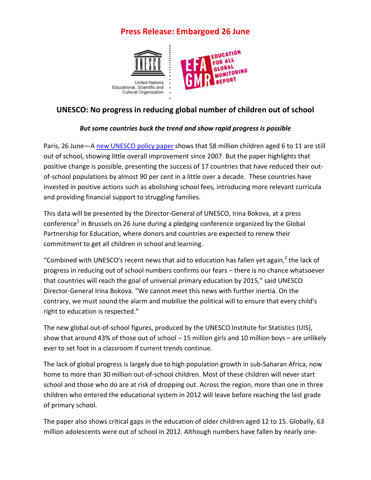# **Press Release: Embargoed 26 June**



## **UNESCO: No progress in reducing global number of children out of school**

#### *But some countries buck the trend and show rapid progress is possible*

Paris, 26 June-A [new UNESCO policy paper](http://bit.ly/OOS_figures) shows that 58 million children aged 6 to 11 are still out of school, showing little overall improvement since 2007. But the paper highlights that positive change is possible, presenting the success of 17 countries that have reduced their outof-school populations by almost 90 per cent in a little over a decade. These countries have invested in positive actions such as abolishing school fees, introducing more relevant curricula and providing financial support to struggling families.

This data will be presented by the Director-General of UNESCO, Irina Bokova, at a press conference<sup>1</sup> in Brussels on 26 June during a pledging conference organized by the Global Partnership for Education, where donors and countries are expected to renew their commitment to get all children in school and learning.

"Combined with UNESCO's recent news that aid to education has fallen yet again, $2$  the lack of progress in reducing out of school numbers confirms our fears – there is no chance whatsoever that countries will reach the goal of universal primary education by 2015," said UNESCO Director-General Irina Bokova. "We cannot meet this news with further inertia. On the contrary, we must sound the alarm and mobilize the political will to ensure that every child's right to education is respected."

The new global out-of-school figures, produced by the UNESCO Institute for Statistics (UIS), show that around 43% of those out of school – 15 million girls and 10 million boys – are unlikely ever to set foot in a classroom if current trends continue.

The lack of global progress is largely due to high population growth in sub-Saharan Africa, now home to more than 30 million out-of-school children. Most of these children will never start school and those who do are at risk of dropping out. Across the region, more than one in three children who entered the educational system in 2012 will leave before reaching the last grade of primary school.

The paper also shows critical gaps in the education of older children aged 12 to 15. Globally, 63 million adolescents were out of school in 2012. Although numbers have fallen by nearly one-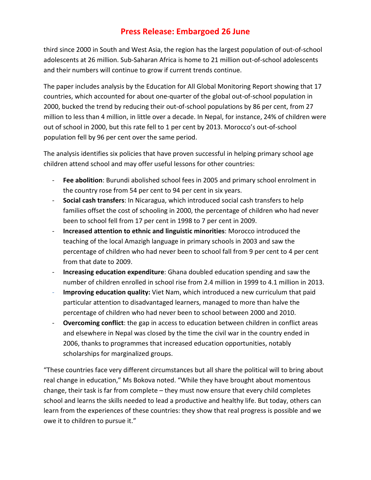## **Press Release: Embargoed 26 June**

third since 2000 in South and West Asia, the region has the largest population of out-of-school adolescents at 26 million. Sub-Saharan Africa is home to 21 million out-of-school adolescents and their numbers will continue to grow if current trends continue.

The paper includes analysis by the Education for All Global Monitoring Report showing that 17 countries, which accounted for about one-quarter of the global out-of-school population in 2000, bucked the trend by reducing their out-of-school populations by 86 per cent, from 27 million to less than 4 million, in little over a decade. In Nepal, for instance, 24% of children were out of school in 2000, but this rate fell to 1 per cent by 2013. Morocco's out-of-school population fell by 96 per cent over the same period.

The analysis identifies six policies that have proven successful in helping primary school age children attend school and may offer useful lessons for other countries:

- **Fee abolition**: Burundi abolished school fees in 2005 and primary school enrolment in the country rose from 54 per cent to 94 per cent in six years.
- **Social cash transfers**: In Nicaragua, which introduced social cash transfers to help families offset the cost of schooling in 2000, the percentage of children who had never been to school fell from 17 per cent in 1998 to 7 per cent in 2009.
- **Increased attention to ethnic and linguistic minorities**: Morocco introduced the teaching of the local Amazigh language in primary schools in 2003 and saw the percentage of children who had never been to school fall from 9 per cent to 4 per cent from that date to 2009.
- **Increasing education expenditure**: Ghana doubled education spending and saw the number of children enrolled in school rise from 2.4 million in 1999 to 4.1 million in 2013.
- **Improving education quality:** Viet Nam, which introduced a new curriculum that paid particular attention to disadvantaged learners, managed to more than halve the percentage of children who had never been to school between 2000 and 2010.
- **Overcoming conflict**: the gap in access to education between children in conflict areas and elsewhere in Nepal was closed by the time the civil war in the country ended in 2006, thanks to programmes that increased education opportunities, notably scholarships for marginalized groups.

"These countries face very different circumstances but all share the political will to bring about real change in education," Ms Bokova noted. "While they have brought about momentous change, their task is far from complete – they must now ensure that every child completes school and learns the skills needed to lead a productive and healthy life. But today, others can learn from the experiences of these countries: they show that real progress is possible and we owe it to children to pursue it."